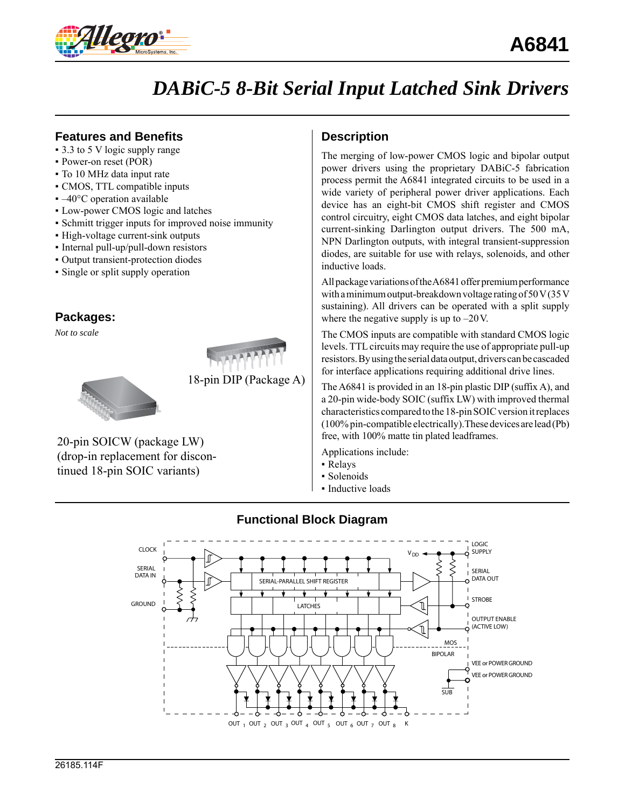

# *DABiC-5 8-Bit Serial Input Latched Sink Drivers*

### **Features and Benefits**

- 3.3 to 5 V logic supply range
- Power-on reset (POR)
- To 10 MHz data input rate
- CMOS, TTL compatible inputs
- $\blacktriangleright$  –40 $\degree$ C operation available
- Low-power CMOS logic and latches
- Schmitt trigger inputs for improved noise immunity
- High-voltage current-sink outputs
- Internal pull-up/pull-down resistors
- Output transient-protection diodes
- Single or split supply operation

## **Packages:**

*Not to scale*



18-pin DIP (Package A)

## 20-pin SOICW (package LW) (drop-in replacement for discontinued 18-pin SOIC variants)

# **Description**

The merging of low-power CMOS logic and bipolar output power drivers using the proprietary DABiC-5 fabrication process permit the A6841 integrated circuits to be used in a wide variety of peripheral power driver applications. Each device has an eight-bit CMOS shift register and CMOS control circuitry, eight CMOS data latches, and eight bipolar current-sinking Darlington output drivers. The 500 mA, NPN Darlington outputs, with integral transient-suppression diodes, are suitable for use with relays, solenoids, and other inductive loads.

All package variations of the A6841 offer premium performance with a minimum output-breakdown voltage rating of 50 V (35 V sustaining). All drivers can be operated with a split supply where the negative supply is up to  $-20$  V.

The CMOS inputs are compatible with standard CMOS logic levels. TTL circuits may require the use of appropriate pull-up resistors. By using the serial data output, drivers can be cascaded for interface applications requiring additional drive lines.

The A6841 is provided in an 18-pin plastic DIP (suffix A), and a 20-pin wide-body SOIC (suffix LW) with improved thermal characteristics compared to the 18-pin SOIC version it replaces (100% pin-compatible electrically).These devices are lead (Pb) free, with 100% matte tin plated leadframes.

Applications include:

- Relays
- Solenoids
- Inductive loads



## **Functional Block Diagram**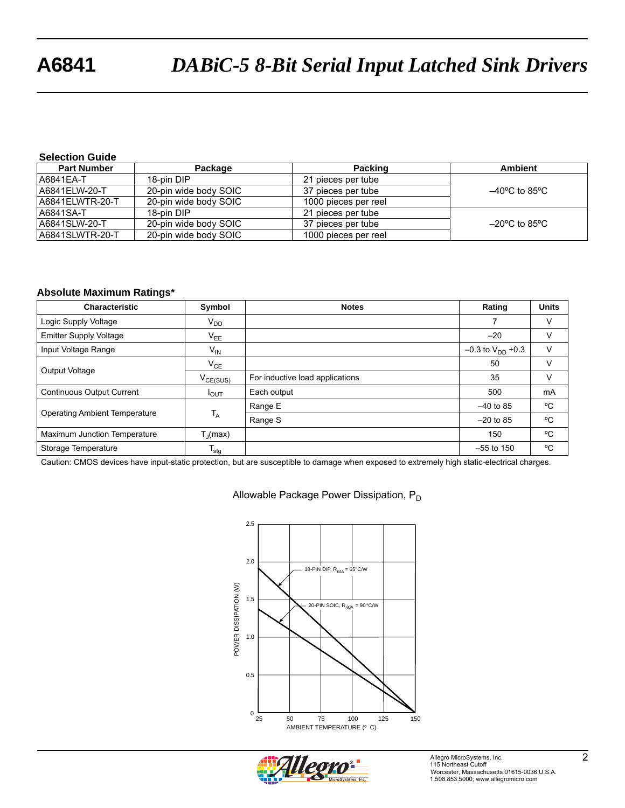# **A6841** *DABiC-5 8-Bit Serial Input Latched Sink Drivers*

#### **Selection Guide**

| <b>Part Number</b> | Package               | <b>Packing</b>       | <b>Ambient</b>                     |
|--------------------|-----------------------|----------------------|------------------------------------|
| A6841EA-T          | 18-pin DIP            | 21 pieces per tube   |                                    |
| A6841ELW-20-T      | 20-pin wide body SOIC | 37 pieces per tube   | $-40^{\circ}$ C to 85 $^{\circ}$ C |
| A6841ELWTR-20-T    | 20-pin wide body SOIC | 1000 pieces per reel |                                    |
| A6841SA-T          | 18-pin DIP            | 21 pieces per tube   |                                    |
| A6841SLW-20-T      | 20-pin wide body SOIC | 37 pieces per tube   | $-20^{\circ}$ C to 85 $^{\circ}$ C |
| A6841SLWTR-20-T    | 20-pin wide body SOIC | 1000 pieces per reel |                                    |

#### **Absolute Maximum Ratings\***

| Characteristic                       | Symbol               | <b>Notes</b>                    | Rating                  | <b>Units</b> |
|--------------------------------------|----------------------|---------------------------------|-------------------------|--------------|
| Logic Supply Voltage                 | V <sub>DD</sub>      |                                 |                         | V            |
| <b>Emitter Supply Voltage</b>        | $V_{EE}$             |                                 | $-20$                   |              |
| Input Voltage Range                  | $V_{\text{IN}}$      |                                 | $-0.3$ to $V_{DD}$ +0.3 | v            |
| Output Voltage                       | $V_{CE}$             |                                 | 50                      |              |
|                                      | $V_{CE(SUS)}$        | For inductive load applications | 35                      | V            |
| <b>Continuous Output Current</b>     | $I_{OUT}$            | Each output                     | 500                     | mA           |
| <b>Operating Ambient Temperature</b> |                      | Range E                         | $-40$ to 85             | °C           |
|                                      | $T_A$                | Range S                         | $-20$ to 85             | °C           |
| Maximum Junction Temperature         | $T_{\text{I}}$ (max) |                                 | 150                     | °C           |
| Storage Temperature                  | $T_{\text{stg}}$     |                                 | $-55$ to 150            | °C           |

Caution: CMOS devices have input-static protection, but are susceptible to damage when exposed to extremely high static-electrical charges.

#### Allowable Package Power Dissipation, P<sub>D</sub>



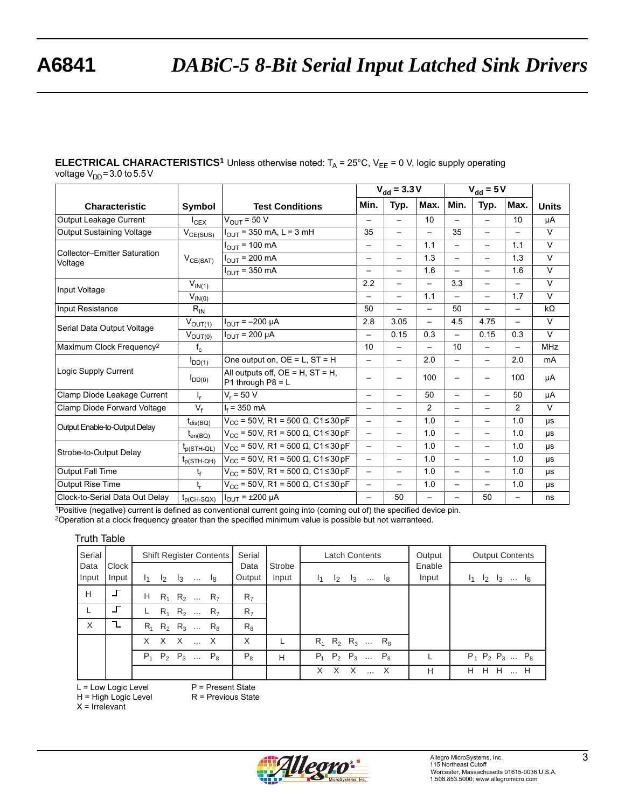#### **ELECTRICAL CHARACTERISTICS<sup>1</sup>** Unless otherwise noted:  $T_A = 25^\circ$ C,  $V_{EE} = 0$  V, logic supply operating voltage  $V_{DD} = 3.0$  to  $5.5$  V

|                                                |                 |                                                               | $V_{dd} = 3.3 V$         |                          | $V_{dd} = 5V$            |                          |                          |                          |              |
|------------------------------------------------|-----------------|---------------------------------------------------------------|--------------------------|--------------------------|--------------------------|--------------------------|--------------------------|--------------------------|--------------|
| <b>Characteristic</b>                          | Symbol          | <b>Test Conditions</b>                                        | Min.                     | Typ.                     | Max.                     | Min.                     | Typ.                     | Max.                     | <b>Units</b> |
| Output Leakage Current                         | $I_{CEX}$       | $V_{\text{OUT}} = 50 V$                                       | $\overline{\phantom{m}}$ |                          | 10                       | $\overline{\phantom{0}}$ | $\overline{\phantom{0}}$ | 10                       | μA           |
| Output Sustaining Voltage                      | $V_{CE(SUS)}$   | $I_{OUT}$ = 350 mA, L = 3 mH                                  | 35                       |                          | $\overline{\phantom{0}}$ | 35                       | $\overline{\phantom{0}}$ |                          | $\vee$       |
|                                                |                 | $I_{OUT}$ = 100 mA                                            | $\overline{\phantom{m}}$ | $\overline{\phantom{0}}$ | 1.1                      |                          | $\overline{\phantom{0}}$ | 1.1                      | $\vee$       |
| <b>Collector-Emitter Saturation</b><br>Voltage | $V_{CE(SAT)}$   | $I_{OUT}$ = 200 mA                                            | $\qquad \qquad -$        |                          | 1.3                      |                          | —                        | 1.3                      | $\vee$       |
|                                                |                 | $I_{\text{OUT}}$ = 350 mA                                     | $\qquad \qquad -$        |                          | 1.6                      |                          | $\overline{\phantom{0}}$ | 1.6                      | $\vee$       |
| Input Voltage                                  | $V_{IN(1)}$     |                                                               | 2.2                      |                          | $\overline{\phantom{0}}$ | 3.3                      | $\overline{\phantom{0}}$ | $\overline{\phantom{m}}$ | $\vee$       |
|                                                | $V_{IN(0)}$     |                                                               | $\qquad \qquad -$        |                          | 1.1                      | $\overline{\phantom{0}}$ | $\overline{\phantom{0}}$ | 1.7                      | $\vee$       |
| Input Resistance                               | $R_{IN}$        |                                                               | 50                       |                          |                          | 50                       | —                        | $\overline{\phantom{m}}$ | $k\Omega$    |
| Serial Data Output Voltage                     | $V_{OUT(1)}$    | $I_{OUT} = -200 \mu A$                                        | 2.8                      | 3.05                     |                          | 4.5                      | 4.75                     | $\overline{\phantom{0}}$ | $\vee$       |
|                                                | $V_{OUT(0)}$    | $I_{OUT}$ = 200 µA                                            | $\overline{\phantom{0}}$ | 0.15                     | 0.3                      | $\overline{\phantom{0}}$ | 0.15                     | 0.3                      | $\vee$       |
| Maximum Clock Frequency <sup>2</sup>           | $f_{c}$         |                                                               | 10                       |                          | $\overline{\phantom{0}}$ | 10                       | $\overline{\phantom{0}}$ |                          | <b>MHz</b>   |
|                                                | $I_{DD(1)}$     | One output on, $OE = L$ , $ST = H$                            | $\qquad \qquad -$        |                          | 2.0                      |                          | $\overline{\phantom{0}}$ | 2.0                      | mA           |
| Logic Supply Current                           | $I_{DD(0)}$     | All outputs off, $OE = H$ , $ST = H$ ,<br>P1 through $P8 = L$ | —                        | —                        | 100                      |                          |                          | 100                      | μA           |
| Clamp Diode Leakage Current                    | $I_r$           | $V_r = 50 V$                                                  | $\qquad \qquad -$        | $\qquad \qquad -$        | 50                       | $\qquad \qquad -$        | $\overline{\phantom{0}}$ | 50                       | μA           |
| Clamp Diode Forward Voltage                    | $V_f$           | $I_f = 350$ mA                                                | $\overline{\phantom{m}}$ |                          | $\overline{c}$           |                          | —                        | 2                        | $\vee$       |
| Output Enable-to-Output Delay                  | $t_{dis(BO)}$   | $V_{CC}$ = 50V, R1 = 500 $\Omega$ , C1 ≤ 30 pF                | $\qquad \qquad -$        | $\qquad \qquad -$        | 1.0                      | $\qquad \qquad -$        | —                        | 1.0                      | μs           |
|                                                | $t_{en(BO)}$    | $V_{CC}$ = 50 V, R1 = 500 Ω, C1 ≤ 30 pF                       | $\overline{\phantom{0}}$ |                          | 1.0                      |                          | $\overline{\phantom{0}}$ | 1.0                      | <b>US</b>    |
| Strobe-to-Output Delay                         | $t_{p(STH-QL)}$ | $V_{CC}$ = 50V, R1 = 500 Ω, C1 ≤ 30 pF                        | $\qquad \qquad -$        |                          | 1.0                      |                          | —                        | 1.0                      | μs           |
|                                                | $t_{p(STH-QH)}$ | $V_{CC}$ = 50V, R1 = 500 Ω, C1 ≤ 30 pF                        | $\overline{\phantom{0}}$ |                          | 1.0                      |                          | $\overline{\phantom{0}}$ | 1.0                      | μs           |
| Output Fall Time                               | $t_f$           | $V_{CC}$ = 50V, R1 = 500 Ω, C1≤30 pF                          | $\qquad \qquad -$        |                          | 1.0                      | $\overline{\phantom{0}}$ | $\overline{\phantom{0}}$ | 1.0                      | μs           |
| <b>Output Rise Time</b>                        | $t_{r}$         | $V_{CC}$ = 50V, R1 = 500 Ω, C1≤30 pF                          | $\overline{\phantom{0}}$ | —                        | 1.0                      | $\overline{\phantom{0}}$ |                          | 1.0                      | μs           |
| Clock-to-Serial Data Out Delay                 | $t_{p(CH-SQX)}$ | $I_{OUT}$ = $\pm 200$ µA                                      | $\overline{\phantom{0}}$ | 50                       | $\overline{\phantom{0}}$ | $\overline{\phantom{0}}$ | 50                       | —                        | ns           |

1Positive (negative) current is defined as conventional current going into (coming out of) the specified device pin.

<sup>2</sup>Operation at a clock frequency greater than the specified minimum value is possible but not warranteed.

#### Truth Table

| Serial |       | Shift Register Contents                          | Serial         |        | <b>Latch Contents</b>                            | Output | <b>Output Contents</b>  |
|--------|-------|--------------------------------------------------|----------------|--------|--------------------------------------------------|--------|-------------------------|
| Data   | Clock |                                                  | Data           | Strobe |                                                  | Enable |                         |
| Input  | Input | $I_1$<br>$\mathsf{I}_2$<br>ا …<br>$\mathsf{I}_3$ | Output         | Input  | $\mathsf{I}_1$<br>$\mathsf{I}_2$<br>$I_3$<br>ا … | Input  | $I_1$ $I_2$ $I_3$<br>lg |
| H      |       | Н.<br>$R_1$ $R_2$ $R_7$                          | R <sub>7</sub> |        |                                                  |        |                         |
|        |       | $R_1$ $R_2$<br>R <sub>7</sub><br>L.              | R <sub>7</sub> |        |                                                  |        |                         |
| X      | ı     | $R_2$ $R_3$ $R_8$<br>$R_{1}$                     | $R_{8}$        |        |                                                  |        |                         |
|        |       | X X X<br>$\mathsf{X}$                            | X              |        | $R_1$ $R_2$ $R_3$ $R_8$                          |        |                         |
|        |       | $P_{4}$<br>$P_2$ $P_3$<br>$P_{8}$                | $P_8$          | H      | $P_2$ $P_3$ $P_8$<br>$P_{1}$                     |        | $P_1$ $P_2$ $P_3$ $P_8$ |
|        |       |                                                  |                |        | X<br>X                                           | H      | H<br>- H<br>H.<br>H     |

L = Low Logic Level

P = Present State R = Previous State

H = High Logic Level



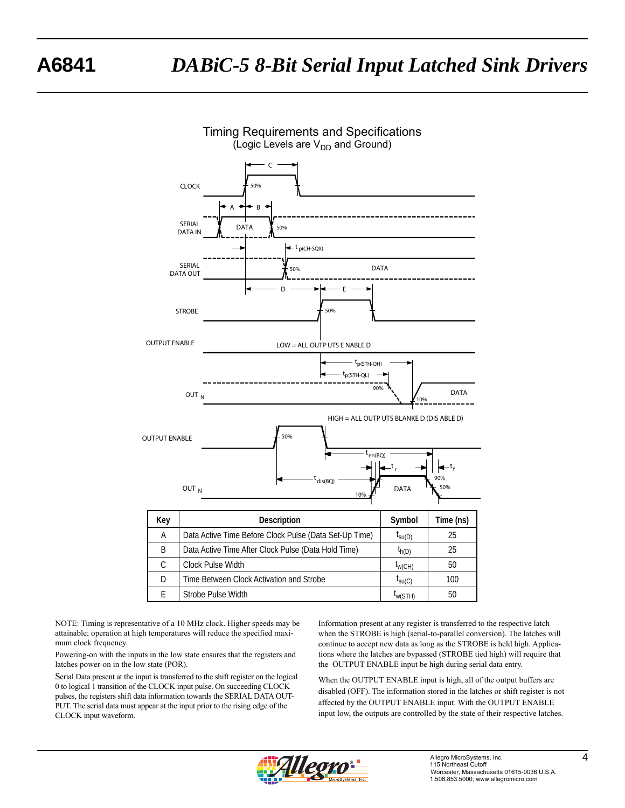

NOTE: Timing is representative of a 10 MHz clock. Higher speeds may be attainable; operation at high temperatures will reduce the specified maximum clock frequency.

Powering-on with the inputs in the low state ensures that the registers and latches power-on in the low state (POR).

Serial Data present at the input is transferred to the shift register on the logical 0 to logical 1 transition of the CLOCK input pulse. On succeeding CLOCK pulses, the registers shift data information towards the SERIAL DATA OUT-PUT. The serial data must appear at the input prior to the rising edge of the CLOCK input waveform.

Information present at any register is transferred to the respective latch when the STROBE is high (serial-to-parallel conversion). The latches will continue to accept new data as long as the STROBE is held high. Applications where the latches are bypassed (STROBE tied high) will require that the OUTPUT ENABLE input be high during serial data entry.

When the OUTPUT ENABLE input is high, all of the output buffers are disabled (OFF). The information stored in the latches or shift register is not affected by the OUTPUT ENABLE input. With the OUTPUT ENABLE input low, the outputs are controlled by the state of their respective latches.

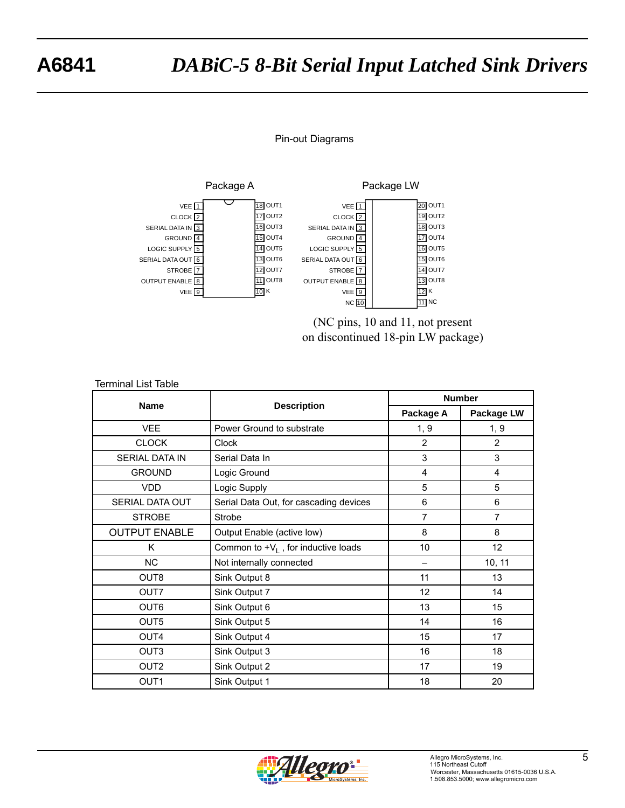# **A6841** *DABiC-5 8-Bit Serial Input Latched Sink Drivers*

## Pin-out Diagrams



(NC pins, 10 and 11, not present on discontinued 18-pin LW package)

| <b>Terminal List Table</b> |                                        |                |                |  |  |  |  |
|----------------------------|----------------------------------------|----------------|----------------|--|--|--|--|
| <b>Name</b>                |                                        | <b>Number</b>  |                |  |  |  |  |
|                            | <b>Description</b>                     | Package A      | Package LW     |  |  |  |  |
| <b>VEE</b>                 | Power Ground to substrate              | 1, 9           | 1, 9           |  |  |  |  |
| <b>CLOCK</b>               | <b>Clock</b>                           | $\overline{2}$ | 2              |  |  |  |  |
| <b>SERIAL DATA IN</b>      | Serial Data In                         | 3              | 3              |  |  |  |  |
| <b>GROUND</b>              | Logic Ground                           | 4              | $\overline{4}$ |  |  |  |  |
| <b>VDD</b>                 | Logic Supply                           | 5              | 5              |  |  |  |  |
| <b>SERIAL DATA OUT</b>     | Serial Data Out, for cascading devices | 6              | 6              |  |  |  |  |
| <b>STROBE</b>              | Strobe                                 | 7              | $\overline{7}$ |  |  |  |  |
| <b>OUTPUT ENABLE</b>       | Output Enable (active low)             | 8              | 8              |  |  |  |  |
| K                          | Common to $+V_L$ , for inductive loads | 10             | 12             |  |  |  |  |
| <b>NC</b>                  | Not internally connected               |                | 10, 11         |  |  |  |  |
| OUT8                       | Sink Output 8                          | 11             | 13             |  |  |  |  |
| OUT7                       | Sink Output 7                          | 12             | 14             |  |  |  |  |
| OUT <sub>6</sub>           | Sink Output 6                          | 13             | 15             |  |  |  |  |
| OUT5                       | Sink Output 5                          | 14             | 16             |  |  |  |  |
| OUT4                       | Sink Output 4                          | 15             | 17             |  |  |  |  |
| OUT <sub>3</sub>           | Sink Output 3                          | 16             | 18             |  |  |  |  |
| OUT <sub>2</sub>           | Sink Output 2                          | 17             | 19             |  |  |  |  |
| OUT <sub>1</sub>           | Sink Output 1                          | 18             | 20             |  |  |  |  |

# Allegro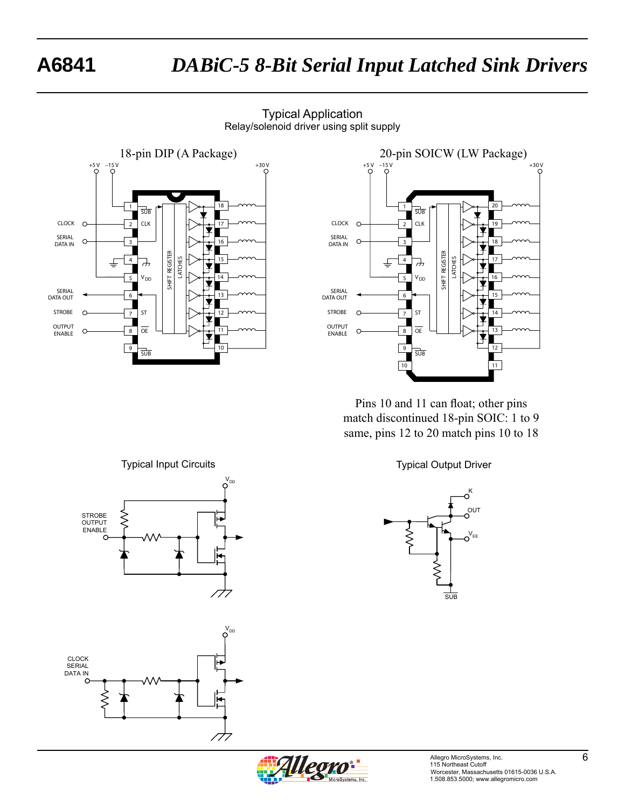# **A6841** *DABiC-5 8-Bit Serial Input Latched Sink Drivers*







Pins 10 and 11 can float; other pins match discontinued 18-pin SOIC: 1 to 9 same, pins 12 to 20 match pins 10 to 18



**SUB** 

OUT

 $O^{V_{EE}}$ 

 $o<sup>K</sup>$ 



CLOCK SERIAL DATA IN  $\gtrless$ 777

STROBE **OUTPUT** ENABLE

 $V_{DD}$ 

 $V_{DD}$ 

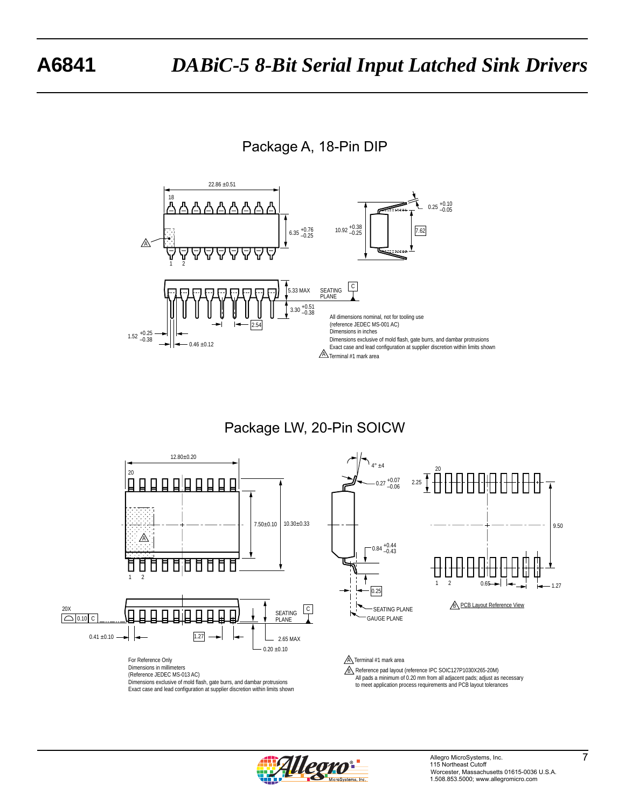Package A, 18-Pin DIP



Package LW, 20-Pin SOICW